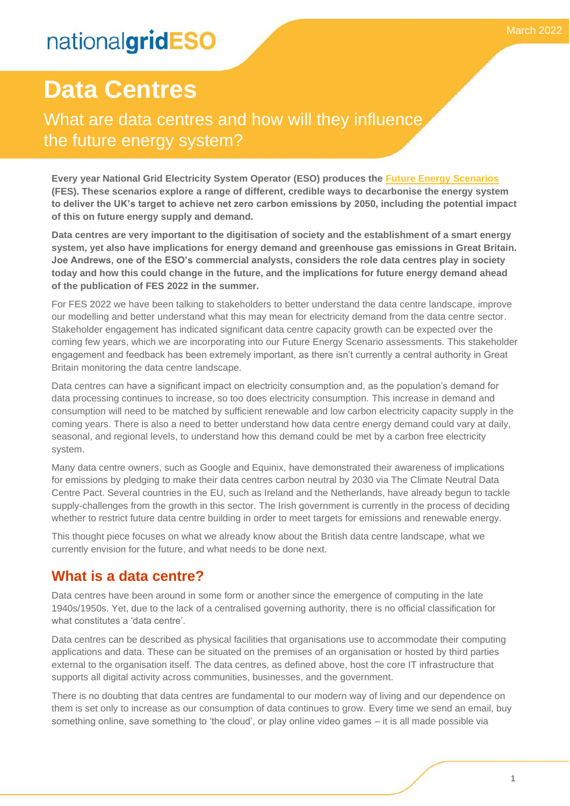What are data centres and how will they influence the future energy system?

**Every year National Grid Electricity System Operator (ESO) produces the [Future Energy Scenarios](https://www.nationalgrideso.com/future-energy/future-energy-scenarios) (FES). These scenarios explore a range of different, credible ways to decarbonise the energy system to deliver the UK's target to achieve net zero carbon emissions by 2050, including the potential impact of this on future energy supply and demand.**

**Data centres are very important to the digitisation of society and the establishment of a smart energy system, yet also have implications for energy demand and greenhouse gas emissions in Great Britain. Joe Andrews, one of the ESO's commercial analysts, considers the role data centres play in society today and how this could change in the future, and the implications for future energy demand ahead of the publication of FES 2022 in the summer.**

For FES 2022 we have been talking to stakeholders to better understand the data centre landscape, improve our modelling and better understand what this may mean for electricity demand from the data centre sector. Stakeholder engagement has indicated significant data centre capacity growth can be expected over the coming few years, which we are incorporating into our Future Energy Scenario assessments. This stakeholder engagement and feedback has been extremely important, as there isn't currently a central authority in Great Britain monitoring the data centre landscape.

Data centres can have a significant impact on electricity consumption and, as the population's demand for data processing continues to increase, so too does electricity consumption. This increase in demand and consumption will need to be matched by sufficient renewable and low carbon electricity capacity supply in the coming years. There is also a need to better understand how data centre energy demand could vary at daily, seasonal, and regional levels, to understand how this demand could be met by a carbon free electricity system.

Many data centre owners, such as Google and Equinix, have demonstrated their awareness of implications for emissions by pledging to make their data centres carbon neutral by 2030 via The Climate Neutral Data Centre Pact. Several countries in the EU, such as Ireland and the Netherlands, have already begun to tackle supply-challenges from the growth in this sector. The Irish government is currently in the process of deciding whether to restrict future data centre building in order to meet targets for emissions and renewable energy.

This thought piece focuses on what we already know about the British data centre landscape, what we currently envision for the future, and what needs to be done next.

## **What is a data centre?**

Data centres have been around in some form or another since the emergence of computing in the late 1940s/1950s. Yet, due to the lack of a centralised governing authority, there is no official classification for what constitutes a 'data centre'.

Data centres can be described as physical facilities that organisations use to accommodate their computing applications and data. These can be situated on the premises of an organisation or hosted by third parties external to the organisation itself. The data centres, as defined above, host the core IT infrastructure that supports all digital activity across communities, businesses, and the government.

There is no doubting that data centres are fundamental to our modern way of living and our dependence on them is set only to increase as our consumption of data continues to grow. Every time we send an email, buy something online, save something to 'the cloud', or play online video games – it is all made possible via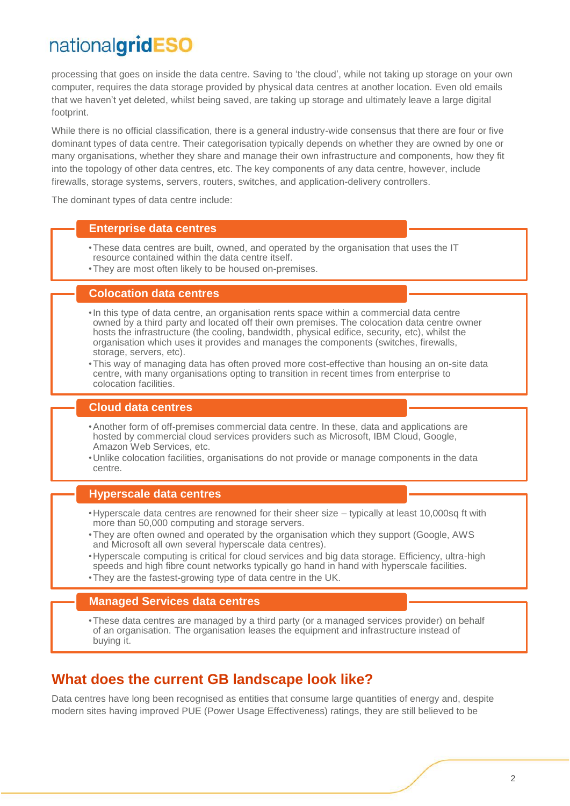processing that goes on inside the data centre. Saving to 'the cloud', while not taking up storage on your own computer, requires the data storage provided by physical data centres at another location. Even old emails that we haven't yet deleted, whilst being saved, are taking up storage and ultimately leave a large digital footprint.

While there is no official classification, there is a general industry-wide consensus that there are four or five dominant types of data centre. Their categorisation typically depends on whether they are owned by one or many organisations, whether they share and manage their own infrastructure and components, how they fit into the topology of other data centres, etc. The key components of any data centre, however, include firewalls, storage systems, servers, routers, switches, and application-delivery controllers.

The dominant types of data centre include:

#### **Enterprise data centres**

- •These data centres are built, owned, and operated by the organisation that uses the IT resource contained within the data centre itself.
- •They are most often likely to be housed on-premises.

#### **Colocation data centres**

- •In this type of data centre, an organisation rents space within a commercial data centre owned by a third party and located off their own premises. The colocation data centre owner hosts the infrastructure (the cooling, bandwidth, physical edifice, security, etc), whilst the organisation which uses it provides and manages the components (switches, firewalls, storage, servers, etc).
- •This way of managing data has often proved more cost-effective than housing an on-site data centre, with many organisations opting to transition in recent times from enterprise to colocation facilities.

### **Cloud data centres**

- •Another form of off-premises commercial data centre. In these, data and applications are hosted by commercial cloud services providers such as Microsoft, IBM Cloud, Google, Amazon Web Services, etc.
- •Unlike colocation facilities, organisations do not provide or manage components in the data centre.

### **Hyperscale data centres**

- •Hyperscale data centres are renowned for their sheer size typically at least 10,000sq ft with more than 50,000 computing and storage servers.
- •They are often owned and operated by the organisation which they support (Google, AWS and Microsoft all own several hyperscale data centres).
- •Hyperscale computing is critical for cloud services and big data storage. Efficiency, ultra-high speeds and high fibre count networks typically go hand in hand with hyperscale facilities.
- •They are the fastest-growing type of data centre in the UK.

#### **Managed Services data centres**

•These data centres are managed by a third party (or a managed services provider) on behalf of an organisation. The organisation leases the equipment and infrastructure instead of buying it.

### **What does the current GB landscape look like?**

Data centres have long been recognised as entities that consume large quantities of energy and, despite modern sites having improved PUE (Power Usage Effectiveness) ratings, they are still believed to be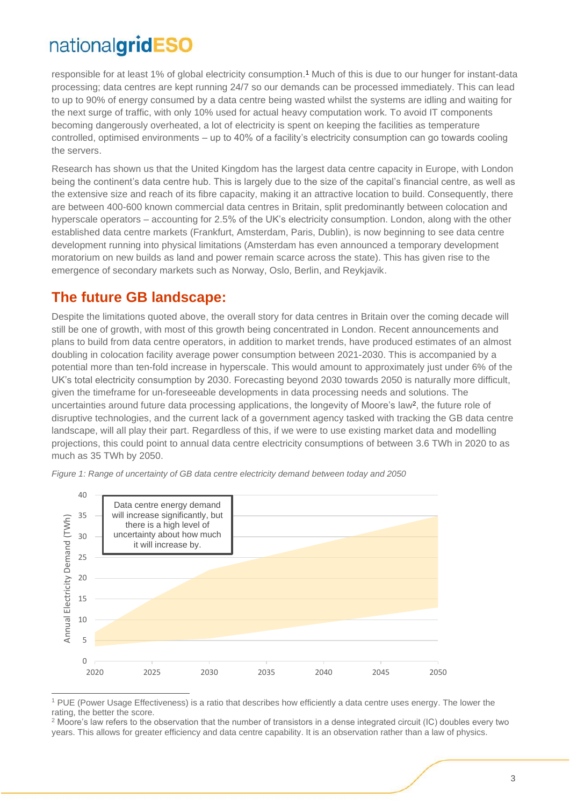responsible for at least 1% of global electricity consumption. <sup>1</sup> Much of this is due to our hunger for instant-data processing; data centres are kept running 24/7 so our demands can be processed immediately. This can lead to up to 90% of energy consumed by a data centre being wasted whilst the systems are idling and waiting for the next surge of traffic, with only 10% used for actual heavy computation work. To avoid IT components becoming dangerously overheated, a lot of electricity is spent on keeping the facilities as temperature controlled, optimised environments – up to 40% of a facility's electricity consumption can go towards cooling the servers.

Research has shown us that the United Kingdom has the largest data centre capacity in Europe, with London being the continent's data centre hub. This is largely due to the size of the capital's financial centre, as well as the extensive size and reach of its fibre capacity, making it an attractive location to build. Consequently, there are between 400-600 known commercial data centres in Britain, split predominantly between colocation and hyperscale operators – accounting for 2.5% of the UK's electricity consumption. London, along with the other established data centre markets (Frankfurt, Amsterdam, Paris, Dublin), is now beginning to see data centre development running into physical limitations (Amsterdam has even announced a temporary development moratorium on new builds as land and power remain scarce across the state). This has given rise to the emergence of secondary markets such as Norway, Oslo, Berlin, and Reykjavik.

## **The future GB landscape:**

Despite the limitations quoted above, the overall story for data centres in Britain over the coming decade will still be one of growth, with most of this growth being concentrated in London. Recent announcements and plans to build from data centre operators, in addition to market trends, have produced estimates of an almost doubling in colocation facility average power consumption between 2021-2030. This is accompanied by a potential more than ten-fold increase in hyperscale. This would amount to approximately just under 6% of the UK's total electricity consumption by 2030. Forecasting beyond 2030 towards 2050 is naturally more difficult, given the timeframe for un-foreseeable developments in data processing needs and solutions. The uncertainties around future data processing applications, the longevity of Moore's law<sup>2</sup>, the future role of disruptive technologies, and the current lack of a government agency tasked with tracking the GB data centre landscape, will all play their part. Regardless of this, if we were to use existing market data and modelling projections, this could point to annual data centre electricity consumptions of between 3.6 TWh in 2020 to as much as 35 TWh by 2050.



*Figure 1: Range of uncertainty of GB data centre electricity demand between today and 2050*

<sup>1</sup> PUE (Power Usage Effectiveness) is a ratio that describes how efficiently a data centre uses energy. The lower the rating, the better the score.

<sup>&</sup>lt;sup>2</sup> Moore's law refers to the observation that the number of transistors in a dense integrated circuit (IC) doubles every two years. This allows for greater efficiency and data centre capability. It is an observation rather than a law of physics.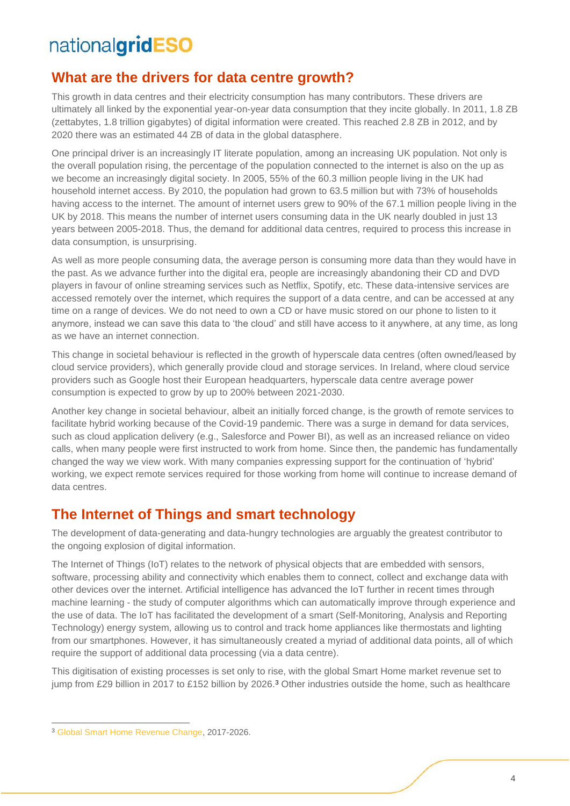## **What are the drivers for data centre growth?**

This growth in data centres and their electricity consumption has many contributors. These drivers are ultimately all linked by the exponential year-on-year data consumption that they incite globally. In 2011, 1.8 ZB (zettabytes, 1.8 trillion gigabytes) of digital information were created. This reached 2.8 ZB in 2012, and by 2020 there was an estimated 44 ZB of data in the global datasphere.

One principal driver is an increasingly IT literate population, among an increasing UK population. Not only is the overall population rising, the percentage of the population connected to the internet is also on the up as we become an increasingly digital society. In 2005, 55% of the 60.3 million people living in the UK had household internet access. By 2010, the population had grown to 63.5 million but with 73% of households having access to the internet. The amount of internet users grew to 90% of the 67.1 million people living in the UK by 2018. This means the number of internet users consuming data in the UK nearly doubled in just 13 years between 2005-2018. Thus, the demand for additional data centres, required to process this increase in data consumption, is unsurprising.

As well as more people consuming data, the average person is consuming more data than they would have in the past. As we advance further into the digital era, people are increasingly abandoning their CD and DVD players in favour of online streaming services such as Netflix, Spotify, etc. These data-intensive services are accessed remotely over the internet, which requires the support of a data centre, and can be accessed at any time on a range of devices. We do not need to own a CD or have music stored on our phone to listen to it anymore, instead we can save this data to 'the cloud' and still have access to it anywhere, at any time, as long as we have an internet connection.

This change in societal behaviour is reflected in the growth of hyperscale data centres (often owned/leased by cloud service providers), which generally provide cloud and storage services. In Ireland, where cloud service providers such as Google host their European headquarters, hyperscale data centre average power consumption is expected to grow by up to 200% between 2021-2030.

Another key change in societal behaviour, albeit an initially forced change, is the growth of remote services to facilitate hybrid working because of the Covid-19 pandemic. There was a surge in demand for data services, such as cloud application delivery (e.g., Salesforce and Power BI), as well as an increased reliance on video calls, when many people were first instructed to work from home. Since then, the pandemic has fundamentally changed the way we view work. With many companies expressing support for the continuation of 'hybrid' working, we expect remote services required for those working from home will continue to increase demand of data centres.

## **The Internet of Things and smart technology**

The development of data-generating and data-hungry technologies are arguably the greatest contributor to the ongoing explosion of digital information.

The Internet of Things (IoT) relates to the network of physical objects that are embedded with sensors, software, processing ability and connectivity which enables them to connect, collect and exchange data with other devices over the internet. Artificial intelligence has advanced the IoT further in recent times through machine learning - the study of computer algorithms which can automatically improve through experience and the use of data. The IoT has facilitated the development of a smart (Self-Monitoring, Analysis and Reporting Technology) energy system, allowing us to control and track home appliances like thermostats and lighting from our smartphones. However, it has simultaneously created a myriad of additional data points, all of which require the support of additional data processing (via a data centre).

This digitisation of existing processes is set only to rise, with the global Smart Home market revenue set to jump from £29 billion in 2017 to £152 billion by 2026.<sup>3</sup> Other industries outside the home, such as healthcare

<sup>3</sup> [Global Smart Home Revenue Change,](https://www.statista.com/outlook/dmo/smart-home/worldwide#revenue) 2017-2026.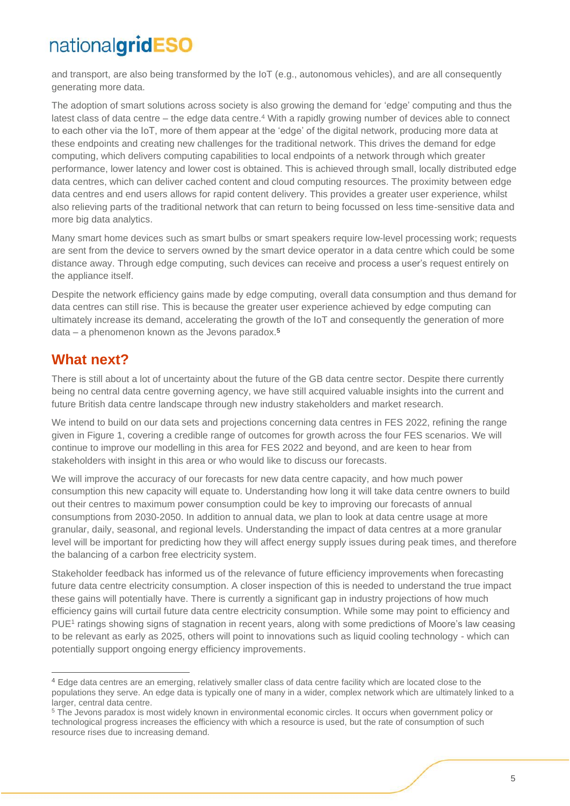and transport, are also being transformed by the IoT (e.g., autonomous vehicles), and are all consequently generating more data.

The adoption of smart solutions across society is also growing the demand for 'edge' computing and thus the latest class of data centre – the edge data centre. <sup>4</sup> With a rapidly growing number of devices able to connect to each other via the IoT, more of them appear at the 'edge' of the digital network, producing more data at these endpoints and creating new challenges for the traditional network. This drives the demand for edge computing, which delivers computing capabilities to local endpoints of a network through which greater performance, lower latency and lower cost is obtained. This is achieved through small, locally distributed edge data centres, which can deliver cached content and cloud computing resources. The proximity between edge data centres and end users allows for rapid content delivery. This provides a greater user experience, whilst also relieving parts of the traditional network that can return to being focussed on less time-sensitive data and more big data analytics.

Many smart home devices such as smart bulbs or smart speakers require low-level processing work; requests are sent from the device to servers owned by the smart device operator in a data centre which could be some distance away. Through edge computing, such devices can receive and process a user's request entirely on the appliance itself.

Despite the network efficiency gains made by edge computing, overall data consumption and thus demand for data centres can still rise. This is because the greater user experience achieved by edge computing can ultimately increase its demand, accelerating the growth of the IoT and consequently the generation of more data – a phenomenon known as the Jevons paradox.<sup>5</sup>

### **What next?**

There is still about a lot of uncertainty about the future of the GB data centre sector. Despite there currently being no central data centre governing agency, we have still acquired valuable insights into the current and future British data centre landscape through new industry stakeholders and market research.

We intend to build on our data sets and projections concerning data centres in FES 2022, refining the range given in Figure 1, covering a credible range of outcomes for growth across the four FES scenarios. We will continue to improve our modelling in this area for FES 2022 and beyond, and are keen to hear from stakeholders with insight in this area or who would like to discuss our forecasts.

We will improve the accuracy of our forecasts for new data centre capacity, and how much power consumption this new capacity will equate to. Understanding how long it will take data centre owners to build out their centres to maximum power consumption could be key to improving our forecasts of annual consumptions from 2030-2050. In addition to annual data, we plan to look at data centre usage at more granular, daily, seasonal, and regional levels. Understanding the impact of data centres at a more granular level will be important for predicting how they will affect energy supply issues during peak times, and therefore the balancing of a carbon free electricity system.

Stakeholder feedback has informed us of the relevance of future efficiency improvements when forecasting future data centre electricity consumption. A closer inspection of this is needed to understand the true impact these gains will potentially have. There is currently a significant gap in industry projections of how much efficiency gains will curtail future data centre electricity consumption. While some may point to efficiency and PUE<sup>1</sup> ratings showing signs of stagnation in recent years, along with some predictions of Moore's law ceasing to be relevant as early as 2025, others will point to innovations such as liquid cooling technology - which can potentially support ongoing energy efficiency improvements.

<sup>4</sup> Edge data centres are an emerging, relatively smaller class of data centre facility which are located close to the populations they serve. An edge data is typically one of many in a wider, complex network which are ultimately linked to a larger, central data centre.

<sup>&</sup>lt;sup>5</sup> The Jevons paradox is most widely known in environmental economic circles. It occurs when government policy or technological progress increases the efficiency with which a resource is used, but the rate of consumption of such resource rises due to increasing demand.